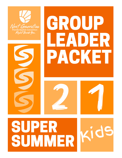

# GROUP LEADER PACKET





## SUPER SUMMER.

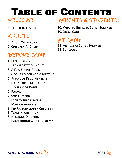### Table of Contents WELCOME: PARENTS & STUDENTS:

3. Letter to Leader

## ADULTS:

- 4. Adult Chaperones
- 5. Children At Camp

## BEFORE CAMP:

- 4. Registration
- 5. Transportation Policy
- 5. A Few Simple Rules
- 6. Group Leader Zoom Meeting
- 6. Financial Requirements
- 6. Dates For Registration
- 6. Timeline of Dates
- 7. Forms
- 7. Social Media
- 7. Facility Information
- 7. Mailing Address
- 8. Kid Pastor/Leader Checklist
- 8. Team Information
- 8. Missions Offering
- 9. Background Check Information

10. What to Bring to Super Summer 10. Dress Code

## AT CAMP:

11. Arrival at Super Summer 11. Schedule



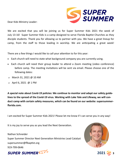Dear Kids Ministry Leader:



We are excited that you will be joining us for Super Summer Kids 2021 the week of July 13-16! Super Summer Kids is a camp designed to serve Florida Baptist Churches as they disciple students. Thank you for allowing us to partner with you. We have a great lineup for camp, from the staff to those leading in worship. We are anticipating a great week!

There are a few things I would like to call your attention to for this year:

- Each church will need to state what background company you are currently using.
- Each church will need their group leader to attend a Zoom meeting (video conference) before camp. The meeting invitations will be sent via email. Please choose one of the following dates:
- $O$  March 31, 2021 @ 10 AM
- $O$  April 6, 2021 @ 1 PM

**A special note about Covid-19 policies: We continue to monitor and adapt our safety guidelines to the spread of the Covid-19 virus. Working with Lake Yale and Lifeway, we will conduct camp with certain safety measures, which can be found on our website: supersummerflorida.com.**

I am excited for Super Summer Kids 2021! Please let me know if I can serve you in any way!

It is my joy to serve you as you lead the Next Generation.

Nathan Schneider Super Summer Director Next Generation Ministries Lead Catalyst supersummer@flbaptist.org 919-799-0646





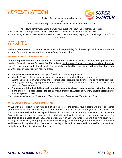



**2021 <sup>4</sup>**

Register Online: supersummerflorida.com

OR

Email the Church Registration Form found at supersummerflorida.com

The following information is to answer your questions about the registration process. If you have any further questions, do not hesitate to call Nathan Schneider at 919-799-0646 or his ministry assistant, Jessica Beike at 813-493-9610. Space is limited, so get your church registration form and deposits

## ADULTS:

Each Children's Pastor or Children Leader retains full responsibility for the oversight and supervision of the students (and adult chaperones) they bring to Super Summer Kids.

#### **Qualifications & Responsibilities:**

In order to provide the best atmosphere and supervision, each church sending students, **must** provide Adult Leaders: (1) Adult Leaders for every five (5) students. So, for every 5 males, you send 1 male adult and for every 5 females, you send 1 female adult. Due to safety and liability concerns, we will not allow students to be without adult supervision in housing areas.

- Adult chaperones serve as encouragers, friends, and housing supervisors.
- Must be 19 years old and someone who has been out of high school for at least one year.
- During the week, Adult Chaperones are responsible for supervising and ministering to students from their church group during unprogrammed times, the dress code (check your students at breakfast) and behavior of your students.
- **From a general standpoint, the people you bring should be above reproach, walking with God, of good moral character, model appropriate behavior and dress code. Additionally, every adult chaperone must pass background checks.**

*(as explained further in the "Background Check Statement of Compliance" included in this packet)***.** 

#### **What Adults Do at Super Summer Kids:**

At Super Summer Kids, you can relax and let us take care of the details. Your students will experience small group Bible study and team-building recreation led by staffers. In the meantime, you and your adults have the chance to refresh and fellowship with leaders from other churches through Bible study and recreation. Breakouts give everyone the opportunity to participate in a favorite activity or to learn something new. You are free to take photos of your students, participate with your students, or spend this time studying or resting. In the evening, your group will experience worship, spend time together during church group time, and have fun during fellowships. Every part of the day is planned and executed by our staff so you can focus on building relationships with your students.

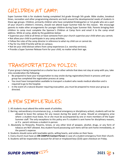## CHILDREN AT CAMP:

Super Summer Kids is for students having completed 3rd grade through 5th grade. Bible studies, breakout times, recreation and other programming elements are built around the developmental needs of students in these age groups. Children, primarily children who have completed Kindergarten or 1st grade who are a part of your church's children's ministry, should not attend Super Summer Kids for this reason. We encourage parents to make other arrangements for younger children during Super Summer Kids. Parents bringing their children to camp must complete the Sponsor's Children at Camp form and email it to the camp email address. While at camp, abide by the guidelines below:

- Supervise your child at all times or have someone from your church supervise your child when you cannot;
- Not allow your child to participate in any camp activities;
- Follow the rules of the camp director in reference to what my child can or cannot do.
- Pay for my child if he/she will be on campus;
- Not let your child distract others from camp experiences (i.e. worship services);
- Provide a Super Summer Release Form for your child, no matter what their age.

## TRANSPORTATION POLICY:

If your group is being transported on a charter bus or other vehicle that does not stay at camp with you, take into consideration the following:

- Be prepared to have your transportation to stay onsite during registration/check-in process until your group has completed the registration process at camp.
- You must have transportation available to transport a student who needs medical attention and is required to go to the hospital.
- In the event of a natural disaster requiring evacuation, you must be prepared to move your group as directed.

## A FEW SIMPLE RULES:

- 1. All students must attend the entire week of activities.
- 2. Barring extraordinary circumstances (e.g., a medical emergency or disciplinary action), students will not be allowed to leave the campus for any reason during the week of camp. Should an emergency arise where a student must leave, he or she must be accompanied by one or more members of the Super Summer staff. The only exceptions to this policy are if a student is sent home for disciplinary reasons, or if a parent retrieves a student in-person.
- 3. Absolutely no fireworks, firearms, knives, or any other kind of weapon, alcohol, drugs, or any form of tobacco are NOT allowed. Any student found possessing such items will be sent home immediately, at the parent's expense.
- 4. Students should come with teachable spirits, willing hearts, and smiles on their faces.
- 5. Every church must have an **ON CAMPUS Contact Person** in case of a student emergency from their church.
- 6. Students will be responsible to account for all lost or misplaced keys (\$10) upon checkout on Friday.



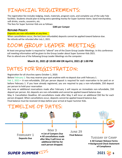## FINANCIAL REQUIREMENTS:

The registration fee includes lodging, meals, materials, program costs, and complete use of the Lake Yale facilities. Students should plan to bring extra spending money for Super Summer items. band merchandise, soft drinks, snacks, souvenirs, etc.

The fees for Super Summer Kids are as follows:

#### **\$285 per Camper**

#### **Refund Policy:**

#### Deposits are non-refundable at any time.

When cancellations occur, the lost (non-refundable) deposits cannot be applied toward balance due. No refunds will be refunded after July 1, 2021.

## ZOOM GROUP LEADER MEETING:

At least one group leader is required to "attend" one of the Zoom Group Leader Meetings. In this conference call meeting information will be given to the Group Leader about Super Summer Kids 2021. Plan to attend one of the following Group Leader Meetings via the computer:

#### **March 31, 2021 @ 10:00 AM OR April 6, 2021 @ 1:00 PM**

## DATES FOR REGISTRATION:

Registration for all churches opens October 1, 2020.

Before February 1: You may reserve your spot anytime with no deposit due until February 1.

Feb 1, 2021— A non-refundable, \$50 per person deposit is required for each reservation to be paid on or before February 1. If you have already registered, you are required to pay a non-refundable, \$50 deposit per person to hold your reservation

Any new or additional reservations made after February 1 will require an immediate non-refundable, \$50 deposit per person. ALL deposits are non-refundable and cannot be applied toward balance due.

May 3- Cancellation Deadline: All cancellations made after May 3 will incur an additional \$50 fee for each person dropped. When cancellations occur, deposits cannot be applied toward balance due.

Final balance must be received 14 days before your arrival at Super Summer Kids.

## TIMELINE OF DATES:

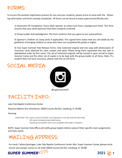## FORMS:

To ensure the quickest registration process for you and your students, please arrive at camp with the following information and forms already completed. All forms can be found at www.supersummerflorida.com.

1) Statement Of Compliance: Every adult sponsor at camp must have a background check. This form ensures that your adult sponsors have been properly screened.

2) Group Leader Acknowledgment: This form confirms that you agree to our camp policies.

3) Sponsor's Children at Camp (only if applicable): This signed form states that you will abide by the guidelines of bringing children to camp who have not completed 6th grade or higher.

4) Two Super Summer Kids Release Forms: One notarized original and one copy with photocopies of insurance cards attached for each camper and adult. Please bring them separated into two sets in alphabetical order by first name. The set of notarized originals will be turned in upon arrival to Super Summer Camp and the other set of copies is to be kept with the group leader at all times. Note: If a student does not have insurance, please note this on the form.



## FACILITY INFO:

Lake Yale Baptist Conference Center

Physical Address (For directions): 39034 County Rd 452, Leesburg, FL 34788

#### Housing:

Hotel Style: Our rooms consist of either one king bed or one full and one twin bed. All rooms include private bathrooms. Handicap-accessible rooms are available with walk-in showers.

NOTE: Super Summer Kids Office will notify group leaders before camp of their specific room assignments and linen needs.



For cards / letters/packages: Lake Yale Baptist Conference Center Attn: Super Summer Camps (please write church and camper names on all mail) 39034 County Rd 452, Leesburg, FL 34788



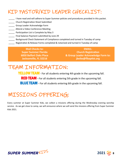## KID PASTOR/KID LEADER CHECKLIST:

- I have read and will adhere to Super Summer policies and procedures provided in this packet.
- **\_\_\_\_\_\_** Church Registration Sheet Submitted
- \_\_\_\_\_ Group Leader Acknowledge Form
- **LECTED Attend a Video Conference Meeting**
- **Notal** Participation List is Complete by May 3
- **\_\_\_\_\_** Final balance Payment submitted by June 29
- **EXECUTE:** Background Check Statement of Compliance completed and turned in Tuesday of camp
- Registration & Release Forms completed & notarized and turned in Tuesday of camp

**Mail Checks to: Super Summer Florida 6850 Belfort Oaks Place Jacksonville, FL 32216**

**EMAIL: Church Registration & Group Leader Acknowledge Form to: jbeike@flbaptist.org**

## TEAM INFORMATION:

**YELLOW TEAM** - For all students entering 4th grade in the upcoming fall. RED TEAM - For all students entering 5th grade in the upcoming fall.

**BLUE TEAM** - For all students entering 6th grade in the upcoming fall.

## MISSIONS OFFERING:

Every summer at Super Summer Kids, we collect a missions offering during the Wednesday evening worship service. As we get close to camp, we will announce where we will send the missions offering from Super Summer Kids 2021.

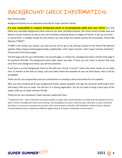## BACKGROUND CHECK INFORMATION:

Dear Group Leader:

Background Checks are an important necessity for Super Summer Florida.

*It is your responsibility to complete background checks on all participating adults from your church.* **You may** utilize any reputable background check resource you wish; provided however, the check results include state and federal criminal histories as well as any civil infractions involving abuse or neglect of minors. If you do not have or cannot find—a suitable vendor for such checks, you may utilize the vendor used by the Convention, *Protect My Ministry ("PMM")*.

If PMM is the vendor you choose, you may use this link to go to the self-pay account at the *Protect My Ministry*  website: https://www.ministryopportunities.org/floridabs. Click 'Super Summer', then 'Super Summer Volunteer'. Fill out each of the three pages.

The first page asks for your information, the second page is a release for a background check, and the third page is for payment (\$15.00). The background check takes about two days. If there are any issues to discuss that may arise from your background check, you will be contacted.

If you have a current background check on file with your church ("current" means the check results are no older than 12 months at the time of camp), and such check meets the standard of care set forth above, then it will be acceptable.

Thank you for your cooperation and your commitment to creating a safe environment for our students.

After you have finalized all of your background checks, please complete and sign the enclosed confirmation form and bring it with you to camp. You will turn it in during registration. You do not need to bring a hard copy of the reports with you to Super Summer Florida.

Thank you for your assistance! Super Summer Leadership Team

\* Standard of Care – what is described as prudent practice in a given area; Florida law does not codify what the Standard of Care is when it comes to background checks and screening. The only guidance we have is what has been ruled upon in courts of law and even then it is necessary to compare our practices with current practices. (Includes: SSN Verification, Address History, National Criminal Database Search, National Sex Offender Registry Search, & County or Statewide Criminal Search.)

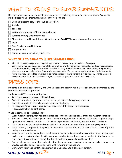## WHAT TO BRING TO SUPER SUMMER KIDS:

Here are some suggestions on what your camper needs to bring to camp. Be sure your student's name is marked clearly on all their luggage and all their belongings.

- Bedding (sleeping bag, or sheets/blanket/pillow)
- $\Box$  Towels
- $\Box$  Toiletries
- Water bottle you can refill and carry with you
- $\Box$  Summer clothing (see dress code)
- Closed-toe, closed healed shoes Open toe shoes **CANNOT** be worn to recreation or breakouts
- $\Box$  Bible
- Pen/Pencil/Journal/Notebook
- $\Box$  Sun protection
- $\Box$  Spending money for drinks, snacks, etc.

#### **What NOT to bring to Super Summer Kids:**

- Alcohol, tobacco, e-cigarettes, illegal drugs, fireworks, water guns, or any kind of weapon
- We recommend no iPads, iPods, playstation portables or other gaming devices, roller blades or skateboards. If students do bring cell phones or other electronics, they are not to be out and in use during programming elements: morning celebration, Bible study, worship, night life, recreation and track times / ministry tracks.
- Items that may be used for pranks such as water balloons, shaving cream, silly string, etc. Pranks are not allowed at camp. Your church will be charged for any damages or issues related to clean up.

## DRESS CODE:

Students must dress appropriately and with Christian modesty in mind. Dress codes will be enforced by the student's individual chaperones.

Students are NOT to pack anything that:

- Advertises alcohol, tobacco, or illegal drugs;
- Explicitly or implicitly promotes racism, sexism, or hatred of any group or person;
- Explicitly or implicitly refers to sexual actions or situations;
- Has spaghetti/small straps, open back or exposes midriff, except for sleepwear;
- Is excessively short or tight fitting.

While at camp, we ask that students:

- Wear modest shorts (when hands are extended to the back or the front, finger tips must touch fabric).
- Sleeveless shirts and tank tops are now allowed during day-time activities. Shirts with spaghetti straps, open backs or excessive armpit cutouts which expose torso and undergarments are NOT allowed.
- Wear closed-toe and closed-heel shoes while at recreation, breakout times and during Mega Relay.
- Wear modest, one-piece bathing suits or two-piece suits covered with a dark colored t-shirt, if participating in water activities.
- Wear modest shorts, pants, jeans, or dresses for worship. Dresses with spaghetti or small straps, open backs, and excessively short lengths are unacceptable (when hands are extended to the back or the front, finger tips must touch fabric). Modest sleeveless tops are allowed in worship.
- Do not dress in a way that calls attention to underwear (sagging your pants, rolling down your waistbands, etc.) or wear pants or shorts with lettering on the bottom.
- Shirts worn with yoga pants/leggings must be long enough to extend past bottom.